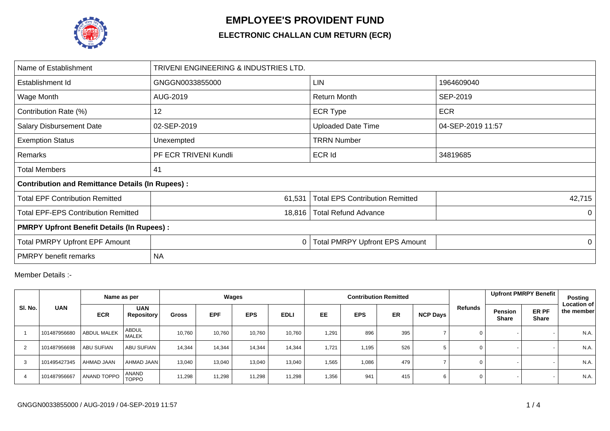

## **EMPLOYEE'S PROVIDENT FUND**

## **ELECTRONIC CHALLAN CUM RETURN (ECR)**

| Name of Establishment                                   | TRIVENI ENGINEERING & INDUSTRIES LTD. |                                        |                   |  |  |  |  |  |  |
|---------------------------------------------------------|---------------------------------------|----------------------------------------|-------------------|--|--|--|--|--|--|
| Establishment Id                                        | GNGGN0033855000                       | <b>LIN</b>                             | 1964609040        |  |  |  |  |  |  |
| Wage Month                                              | AUG-2019                              | <b>Return Month</b>                    | SEP-2019          |  |  |  |  |  |  |
| Contribution Rate (%)                                   | 12                                    | <b>ECR Type</b>                        | <b>ECR</b>        |  |  |  |  |  |  |
| <b>Salary Disbursement Date</b>                         | 02-SEP-2019                           | <b>Uploaded Date Time</b>              | 04-SEP-2019 11:57 |  |  |  |  |  |  |
| <b>Exemption Status</b>                                 | Unexempted                            | <b>TRRN Number</b>                     |                   |  |  |  |  |  |  |
| Remarks                                                 | PF ECR TRIVENI Kundli                 | <b>ECR Id</b>                          | 34819685          |  |  |  |  |  |  |
| Total Members                                           | 41                                    |                                        |                   |  |  |  |  |  |  |
| <b>Contribution and Remittance Details (In Rupees):</b> |                                       |                                        |                   |  |  |  |  |  |  |
| <b>Total EPF Contribution Remitted</b>                  | 61,531                                | <b>Total EPS Contribution Remitted</b> | 42,715            |  |  |  |  |  |  |
| <b>Total EPF-EPS Contribution Remitted</b>              | 18,816                                | <b>Total Refund Advance</b>            | 0                 |  |  |  |  |  |  |
| <b>PMRPY Upfront Benefit Details (In Rupees):</b>       |                                       |                                        |                   |  |  |  |  |  |  |
| Total PMRPY Upfront EPF Amount                          | 0                                     | <b>Total PMRPY Upfront EPS Amount</b>  | 0                 |  |  |  |  |  |  |
| <b>PMRPY</b> benefit remarks                            | <b>NA</b>                             |                                        |                   |  |  |  |  |  |  |

Member Details :-

|         |              | Name as per        |                                 | Wages  |            |            |             |           |            | <b>Contribution Remitted</b> |                 |         | Upfront PMRPY Benefit   |                       | <b>Posting</b>                   |
|---------|--------------|--------------------|---------------------------------|--------|------------|------------|-------------|-----------|------------|------------------------------|-----------------|---------|-------------------------|-----------------------|----------------------------------|
| SI. No. | <b>UAN</b>   | <b>ECR</b>         | <b>UAN</b><br><b>Repository</b> | Gross  | <b>EPF</b> | <b>EPS</b> | <b>EDLI</b> | <b>EE</b> | <b>EPS</b> | <b>ER</b>                    | <b>NCP Days</b> | Refunds | Pension<br><b>Share</b> | ER PF<br><b>Share</b> | <b>Location of</b><br>the member |
|         | 101487956680 | <b>ABDUL MALEK</b> | ABDUL<br><b>MALEK</b>           | 10,760 | 10,760     | 10,760     | 10,760      | 1,291     | 896        | 395                          |                 | 0       |                         |                       | N.A.                             |
| 2       | 101487956698 | <b>ABU SUFIAN</b>  | <b>ABU SUFIAN</b>               | 14,344 | 14,344     | 14,344     | 14,344      | 1,721     | 1,195      | 526                          |                 | 0       |                         |                       | N.A.                             |
| 3       | 101495427345 | AHMAD JAAN         | AHMAD JAAN                      | 13,040 | 13,040     | 13,040     | 13,040      | 1,565     | 1,086      | 479                          |                 | 0       |                         |                       | N.A.                             |
| 4       | 101487956667 | ANAND TOPPO        | ANAND<br>TOPPO                  | 11,298 | 11,298     | 11,298     | 11,298      | 1,356     | 941        | 415                          | 6               | 0       |                         |                       | N.A.                             |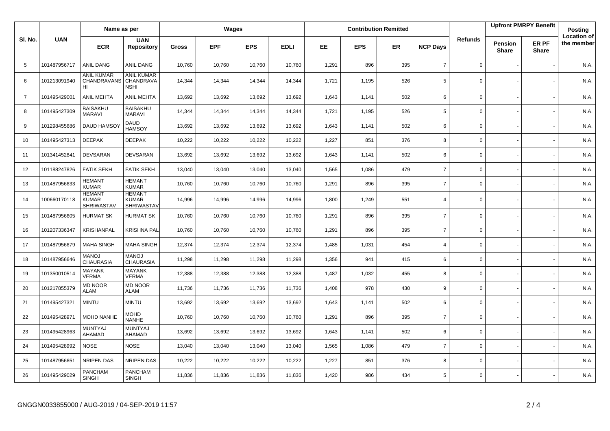|                |              | Name as per                                        |                                                    | Wages        |            |            |             |       |            | <b>Contribution Remitted</b> |                 |                | <b>Upfront PMRPY Benefit</b> |                       | Posting                          |
|----------------|--------------|----------------------------------------------------|----------------------------------------------------|--------------|------------|------------|-------------|-------|------------|------------------------------|-----------------|----------------|------------------------------|-----------------------|----------------------------------|
| SI. No.        | <b>UAN</b>   | <b>ECR</b>                                         | <b>UAN</b><br><b>Repository</b>                    | <b>Gross</b> | <b>EPF</b> | <b>EPS</b> | <b>EDLI</b> | EE    | <b>EPS</b> | ER                           | <b>NCP Days</b> | <b>Refunds</b> | Pension<br><b>Share</b>      | ER PF<br><b>Share</b> | <b>Location of</b><br>the member |
| 5              | 101487956717 | ANIL DANG                                          | ANIL DANG                                          | 10,760       | 10,760     | 10,760     | 10,760      | 1,291 | 896        | 395                          | $\overline{7}$  | $\mathbf 0$    |                              |                       | N.A.                             |
| 6              | 101213091940 | <b>ANIL KUMAR</b><br>CHANDRAVANS<br>HI             | <b>ANIL KUMAR</b><br>CHANDRAVA<br><b>NSHI</b>      | 14,344       | 14,344     | 14,344     | 14,344      | 1,721 | 1,195      | 526                          | 5               | $\Omega$       |                              |                       | N.A.                             |
| $\overline{7}$ | 101495429001 | <b>ANIL MEHTA</b>                                  | ANIL MEHTA                                         | 13,692       | 13,692     | 13,692     | 13,692      | 1,643 | 1,141      | 502                          | 6               | $\mathbf 0$    |                              |                       | N.A.                             |
| 8              | 101495427309 | <b>BAISAKHU</b><br><b>MARAVI</b>                   | <b>BAISAKHU</b><br><b>MARAVI</b>                   | 14,344       | 14,344     | 14,344     | 14,344      | 1,721 | 1,195      | 526                          | 5               | $\mathbf 0$    |                              |                       | N.A.                             |
| 9              | 101298455686 | DAUD HAMSO                                         | <b>DAUD</b><br><b>HAMSOY</b>                       | 13,692       | 13,692     | 13,692     | 13,692      | 1,643 | 1,141      | 502                          | 6               | $\mathbf 0$    |                              |                       | N.A.                             |
| 10             | 101495427313 | <b>DEEPAK</b>                                      | <b>DEEPAK</b>                                      | 10,222       | 10,222     | 10,222     | 10,222      | 1,227 | 851        | 376                          | 8               | $\mathbf 0$    |                              |                       | N.A.                             |
| 11             | 101341452841 | <b>DEVSARAN</b>                                    | <b>DEVSARAN</b>                                    | 13,692       | 13,692     | 13,692     | 13,692      | 1,643 | 1,141      | 502                          | 6               | $\mathbf 0$    |                              |                       | N.A.                             |
| 12             | 101188247826 | <b>FATIK SEKH</b>                                  | <b>FATIK SEKH</b>                                  | 13,040       | 13,040     | 13,040     | 13,040      | 1,565 | 1,086      | 479                          | $\overline{7}$  | $\mathbf 0$    |                              |                       | N.A.                             |
| 13             | 101487956633 | <b>HEMANT</b><br><b>KUMAR</b>                      | <b>HEMANT</b><br><b>KUMAR</b>                      | 10,760       | 10,760     | 10,760     | 10,760      | 1,291 | 896        | 395                          | $\overline{7}$  | $\mathbf 0$    |                              |                       | N.A.                             |
| 14             | 100660170118 | <b>HEMANT</b><br><b>KUMAR</b><br><b>SHRIWASTAV</b> | <b>HEMANT</b><br><b>KUMAR</b><br><b>SHRIWASTAV</b> | 14,996       | 14,996     | 14,996     | 14,996      | 1,800 | 1,249      | 551                          | $\overline{4}$  | $\mathbf 0$    |                              |                       | N.A.                             |
| 15             | 101487956605 | <b>HURMAT SK</b>                                   | <b>HURMAT SK</b>                                   | 10,760       | 10,760     | 10,760     | 10,760      | 1,291 | 896        | 395                          | $\overline{7}$  | $\Omega$       |                              |                       | N.A.                             |
| 16             | 101207336347 | <b>KRISHANPAL</b>                                  | <b>KRISHNA PAL</b>                                 | 10,760       | 10,760     | 10,760     | 10,760      | 1,291 | 896        | 395                          | $\overline{7}$  | $\mathbf 0$    |                              |                       | N.A.                             |
| 17             | 101487956679 | <b>MAHA SINGH</b>                                  | <b>MAHA SINGH</b>                                  | 12,374       | 12,374     | 12,374     | 12,374      | 1,485 | 1,031      | 454                          | $\overline{4}$  | $\mathbf 0$    |                              |                       | N.A.                             |
| 18             | 101487956646 | <b>MANOJ</b><br><b>CHAURASIA</b>                   | <b>MANOJ</b><br><b>CHAURASIA</b>                   | 11,298       | 11,298     | 11,298     | 11,298      | 1,356 | 941        | 415                          | 6               | $\mathbf 0$    |                              |                       | N.A.                             |
| 19             | 101350010514 | <b>MAYANK</b><br><b>VERMA</b>                      | <b>MAYANK</b><br><b>VERMA</b>                      | 12,388       | 12,388     | 12,388     | 12,388      | 1,487 | 1,032      | 455                          | 8               | $\mathbf 0$    |                              |                       | N.A.                             |
| 20             | 101217855379 | <b>MD NOOR</b><br><b>ALAM</b>                      | <b>MD NOOR</b><br><b>ALAM</b>                      | 11,736       | 11,736     | 11,736     | 11,736      | 1,408 | 978        | 430                          | 9               | $\mathbf 0$    |                              |                       | N.A.                             |
| 21             | 101495427321 | <b>MINTU</b>                                       | <b>MINTU</b>                                       | 13,692       | 13,692     | 13,692     | 13,692      | 1,643 | 1,141      | 502                          | 6               | $\Omega$       |                              |                       | N.A.                             |
| 22             | 101495428971 | <b>MOHD NANHE</b>                                  | <b>MOHD</b><br><b>NANHE</b>                        | 10,760       | 10,760     | 10,760     | 10,760      | 1,291 | 896        | 395                          | $\overline{7}$  | $\mathbf 0$    |                              |                       | N.A.                             |
| 23             | 101495428963 | <b>MUNTYAJ</b><br>AHAMAD                           | <b>MUNTYAJ</b><br>AHAMAD                           | 13,692       | 13,692     | 13,692     | 13,692      | 1,643 | 1,141      | 502                          | 6               | $\mathbf 0$    |                              |                       | N.A.                             |
| 24             | 101495428992 | <b>NOSE</b>                                        | <b>NOSE</b>                                        | 13,040       | 13,040     | 13,040     | 13,040      | 1,565 | 1,086      | 479                          | $\overline{7}$  | $\mathbf 0$    |                              |                       | N.A.                             |
| 25             | 101487956651 | NRIPEN DAS                                         | <b>NRIPEN DAS</b>                                  | 10,222       | 10,222     | 10,222     | 10,222      | 1,227 | 851        | 376                          | 8               | $\mathbf 0$    |                              |                       | N.A.                             |
| 26             | 101495429029 | <b>PANCHAM</b><br><b>SINGH</b>                     | <b>PANCHAM</b><br><b>SINGH</b>                     | 11,836       | 11,836     | 11,836     | 11,836      | 1,420 | 986        | 434                          | 5               | $\mathbf 0$    |                              |                       | N.A.                             |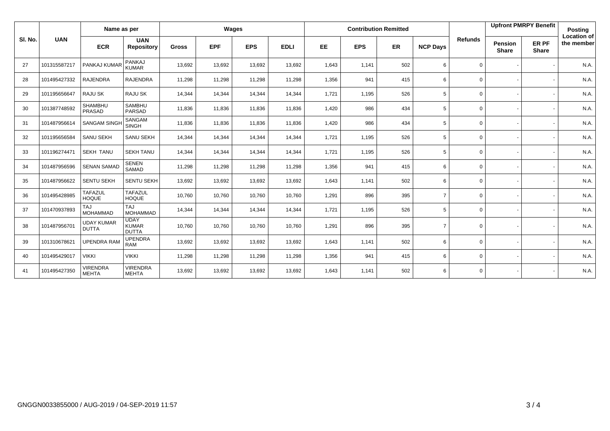|         |              | Name as per                       |                                             | Wages        |            |            |             |           |            | <b>Contribution Remitted</b> |                 |                | <b>Upfront PMRPY Benefit</b>   |                       | <b>Posting</b>                   |
|---------|--------------|-----------------------------------|---------------------------------------------|--------------|------------|------------|-------------|-----------|------------|------------------------------|-----------------|----------------|--------------------------------|-----------------------|----------------------------------|
| SI. No. | <b>UAN</b>   | <b>ECR</b>                        | <b>UAN</b><br><b>Repository</b>             | <b>Gross</b> | <b>EPF</b> | <b>EPS</b> | <b>EDLI</b> | <b>EE</b> | <b>EPS</b> | <b>ER</b>                    | <b>NCP Days</b> | <b>Refunds</b> | <b>Pension</b><br><b>Share</b> | ER PF<br><b>Share</b> | <b>Location of</b><br>the member |
| 27      | 101315587217 | PANKAJ KUMAR                      | PANKAJ<br><b>KUMAR</b>                      | 13,692       | 13,692     | 13,692     | 13,692      | 1,643     | 1,141      | 502                          | 6               | $\mathbf 0$    |                                |                       | N.A.                             |
| 28      | 101495427332 | <b>RAJENDRA</b>                   | <b>RAJENDRA</b>                             | 11,298       | 11,298     | 11,298     | 11,298      | 1,356     | 941        | 415                          | 6               | 0              |                                |                       | N.A.                             |
| 29      | 101195656647 | RAJU SK                           | <b>RAJU SK</b>                              | 14,344       | 14,344     | 14,344     | 14,344      | 1,721     | 1,195      | 526                          | 5               | $\mathbf 0$    |                                |                       | N.A.                             |
| 30      | 101387748592 | SHAMBHU<br>PRASAD                 | <b>SAMBHU</b><br><b>PARSAD</b>              | 11,836       | 11,836     | 11,836     | 11,836      | 1,420     | 986        | 434                          | 5               | $\mathbf 0$    |                                |                       | N.A.                             |
| 31      | 101487956614 | <b>SANGAM SINGH</b>               | <b>SANGAM</b><br><b>SINGH</b>               | 11,836       | 11,836     | 11.836     | 11,836      | 1,420     | 986        | 434                          | 5               | $\mathbf 0$    |                                |                       | N.A.                             |
| 32      | 101195656584 | SANU SEKH                         | SANU SEKH                                   | 14,344       | 14,344     | 14,344     | 14,344      | 1,721     | 1,195      | 526                          | 5               | $\mathbf 0$    |                                |                       | N.A.                             |
| 33      | 101196274471 | <b>SEKH TANU</b>                  | <b>SEKH TANU</b>                            | 14,344       | 14,344     | 14,344     | 14,344      | 1,721     | 1,195      | 526                          | 5               | $\mathbf 0$    |                                |                       | N.A.                             |
| 34      | 101487956596 | <b>SENAN SAMAD</b>                | <b>SENEN</b><br>SAMAD                       | 11,298       | 11,298     | 11,298     | 11,298      | 1,356     | 941        | 415                          | 6               | $\mathbf 0$    |                                |                       | N.A.                             |
| 35      | 101487956622 | <b>SENTU SEKH</b>                 | <b>SENTU SEKH</b>                           | 13,692       | 13,692     | 13,692     | 13,692      | 1,643     | 1,141      | 502                          | 6               | $\mathbf 0$    |                                |                       | N.A.                             |
| 36      | 101495428985 | <b>TAFAZUL</b><br><b>HOQUE</b>    | <b>TAFAZUL</b><br><b>HOQUE</b>              | 10,760       | 10,760     | 10,760     | 10,760      | 1,291     | 896        | 395                          | $\overline{7}$  | $\mathbf 0$    |                                |                       | N.A.                             |
| 37      | 101470937893 | <b>TAJ</b><br><b>MOHAMMAD</b>     | <b>TAJ</b><br><b>MOHAMMAD</b>               | 14,344       | 14,344     | 14,344     | 14,344      | 1,721     | 1,195      | 526                          | 5               | $\mathbf 0$    |                                |                       | N.A.                             |
| 38      | 101487956701 | <b>UDAY KUMAR</b><br><b>DUTTA</b> | <b>UDAY</b><br><b>KUMAR</b><br><b>DUTTA</b> | 10,760       | 10,760     | 10,760     | 10,760      | 1,291     | 896        | 395                          | $\overline{7}$  | $\mathbf 0$    |                                |                       | N.A.                             |
| 39      | 101310678621 | <b>UPENDRA RAM</b>                | <b>UPENDRA</b><br><b>RAM</b>                | 13,692       | 13,692     | 13,692     | 13,692      | 1,643     | 1,141      | 502                          | 6               | $\mathbf 0$    |                                |                       | N.A.                             |
| 40      | 101495429017 | <b>VIKKI</b>                      | <b>VIKKI</b>                                | 11,298       | 11,298     | 11,298     | 11,298      | 1,356     | 941        | 415                          | 6               | $\mathbf 0$    |                                |                       | N.A.                             |
| 41      | 101495427350 | <b>VIRENDRA</b><br><b>MEHTA</b>   | <b>VIRENDRA</b><br><b>MEHTA</b>             | 13,692       | 13,692     | 13,692     | 13,692      | 1,643     | 1,141      | 502                          | 6               | $\mathbf{0}$   |                                |                       | N.A.                             |